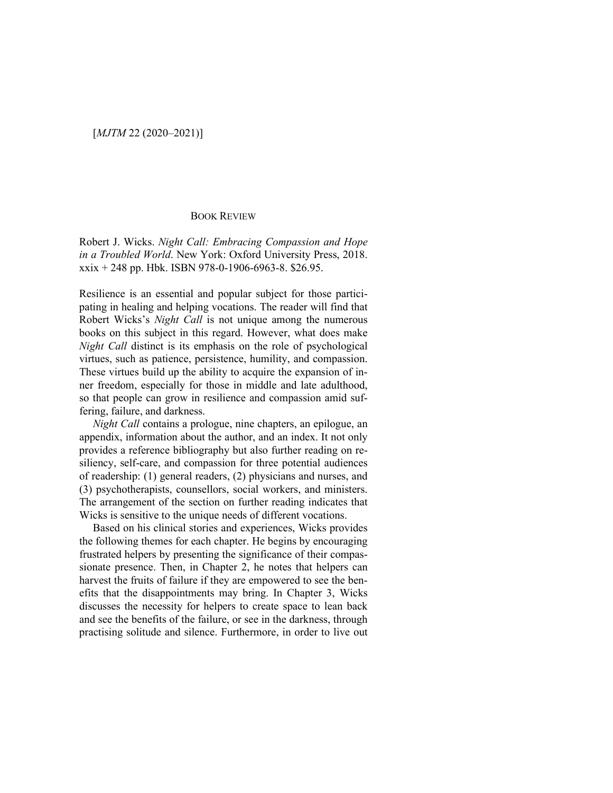## BOOK REVIEW

Robert J. Wicks. *Night Call: Embracing Compassion and Hope in a Troubled World*. New York: Oxford University Press, 2018.  $x\dot{x}$  + 248 pp. Hbk. ISBN 978-0-1906-6963-8. \$26.95.

Resilience is an essential and popular subject for those participating in healing and helping vocations. The reader will find that Robert Wicks's *Night Call* is not unique among the numerous books on this subject in this regard. However, what does make *Night Call* distinct is its emphasis on the role of psychological virtues, such as patience, persistence, humility, and compassion. These virtues build up the ability to acquire the expansion of inner freedom, especially for those in middle and late adulthood, so that people can grow in resilience and compassion amid suffering, failure, and darkness.

*Night Call* contains a prologue, nine chapters, an epilogue, an appendix, information about the author, and an index. It not only provides a reference bibliography but also further reading on resiliency, self-care, and compassion for three potential audiences of readership: (1) general readers, (2) physicians and nurses, and (3) psychotherapists, counsellors, social workers, and ministers. The arrangement of the section on further reading indicates that Wicks is sensitive to the unique needs of different vocations.

Based on his clinical stories and experiences, Wicks provides the following themes for each chapter. He begins by encouraging frustrated helpers by presenting the significance of their compassionate presence. Then, in Chapter 2, he notes that helpers can harvest the fruits of failure if they are empowered to see the benefits that the disappointments may bring. In Chapter 3, Wicks discusses the necessity for helpers to create space to lean back and see the benefits of the failure, or see in the darkness, through practising solitude and silence. Furthermore, in order to live out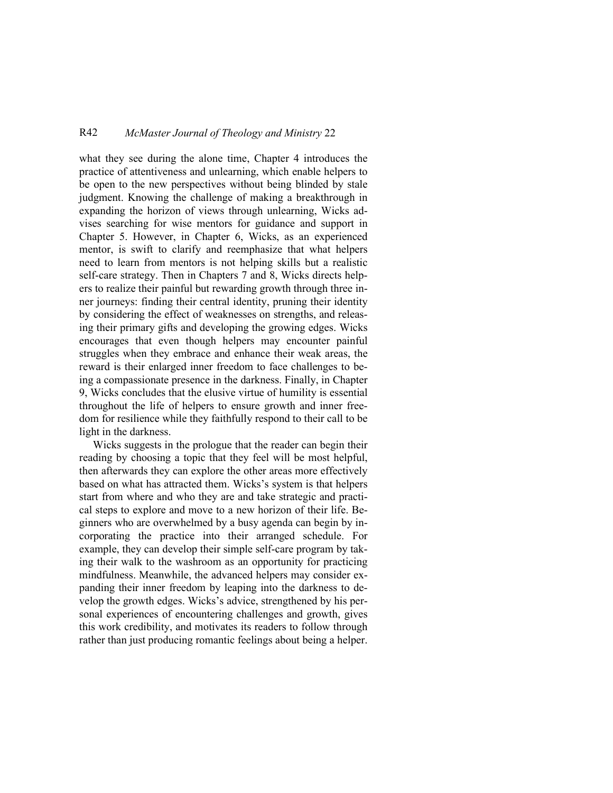## R42 *McMaster Journal of Theology and Ministry* 22

what they see during the alone time, Chapter 4 introduces the practice of attentiveness and unlearning, which enable helpers to be open to the new perspectives without being blinded by stale judgment. Knowing the challenge of making a breakthrough in expanding the horizon of views through unlearning, Wicks advises searching for wise mentors for guidance and support in Chapter 5. However, in Chapter 6, Wicks, as an experienced mentor, is swift to clarify and reemphasize that what helpers need to learn from mentors is not helping skills but a realistic self-care strategy. Then in Chapters 7 and 8, Wicks directs helpers to realize their painful but rewarding growth through three inner journeys: finding their central identity, pruning their identity by considering the effect of weaknesses on strengths, and releasing their primary gifts and developing the growing edges. Wicks encourages that even though helpers may encounter painful struggles when they embrace and enhance their weak areas, the reward is their enlarged inner freedom to face challenges to being a compassionate presence in the darkness. Finally, in Chapter 9, Wicks concludes that the elusive virtue of humility is essential throughout the life of helpers to ensure growth and inner freedom for resilience while they faithfully respond to their call to be light in the darkness.

Wicks suggests in the prologue that the reader can begin their reading by choosing a topic that they feel will be most helpful, then afterwards they can explore the other areas more effectively based on what has attracted them. Wicks's system is that helpers start from where and who they are and take strategic and practical steps to explore and move to a new horizon of their life. Beginners who are overwhelmed by a busy agenda can begin by incorporating the practice into their arranged schedule. For example, they can develop their simple self-care program by taking their walk to the washroom as an opportunity for practicing mindfulness. Meanwhile, the advanced helpers may consider expanding their inner freedom by leaping into the darkness to develop the growth edges. Wicks's advice, strengthened by his personal experiences of encountering challenges and growth, gives this work credibility, and motivates its readers to follow through rather than just producing romantic feelings about being a helper.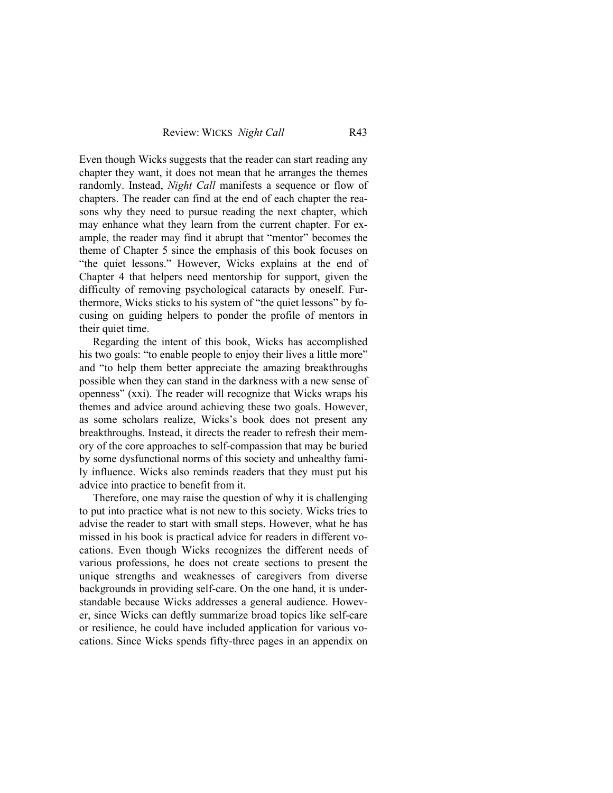Even though Wicks suggests that the reader can start reading any chapter they want, it does not mean that he arranges the themes randomly. Instead, *Night Call* manifests a sequence or flow of chapters. The reader can find at the end of each chapter the reasons why they need to pursue reading the next chapter, which may enhance what they learn from the current chapter. For example, the reader may find it abrupt that "mentor" becomes the theme of Chapter 5 since the emphasis of this book focuses on "the quiet lessons." However, Wicks explains at the end of Chapter 4 that helpers need mentorship for support, given the difficulty of removing psychological cataracts by oneself. Furthermore, Wicks sticks to his system of "the quiet lessons" by focusing on guiding helpers to ponder the profile of mentors in their quiet time.

Regarding the intent of this book, Wicks has accomplished his two goals: "to enable people to enjoy their lives a little more" and "to help them better appreciate the amazing breakthroughs possible when they can stand in the darkness with a new sense of openness" (xxi). The reader will recognize that Wicks wraps his themes and advice around achieving these two goals. However, as some scholars realize, Wicks's book does not present any breakthroughs. Instead, it directs the reader to refresh their memory of the core approaches to self-compassion that may be buried by some dysfunctional norms of this society and unhealthy family influence. Wicks also reminds readers that they must put his advice into practice to benefit from it.

Therefore, one may raise the question of why it is challenging to put into practice what is not new to this society. Wicks tries to advise the reader to start with small steps. However, what he has missed in his book is practical advice for readers in different vocations. Even though Wicks recognizes the different needs of various professions, he does not create sections to present the unique strengths and weaknesses of caregivers from diverse backgrounds in providing self-care. On the one hand, it is understandable because Wicks addresses a general audience. However, since Wicks can deftly summarize broad topics like self-care or resilience, he could have included application for various vocations. Since Wicks spends fifty-three pages in an appendix on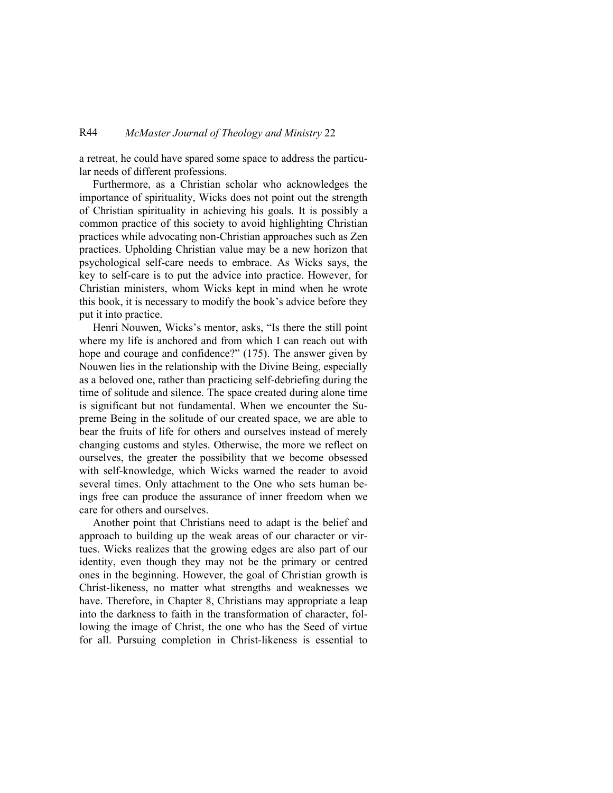a retreat, he could have spared some space to address the particular needs of different professions.

Furthermore, as a Christian scholar who acknowledges the importance of spirituality, Wicks does not point out the strength of Christian spirituality in achieving his goals. It is possibly a common practice of this society to avoid highlighting Christian practices while advocating non-Christian approaches such as Zen practices. Upholding Christian value may be a new horizon that psychological self-care needs to embrace. As Wicks says, the key to self-care is to put the advice into practice. However, for Christian ministers, whom Wicks kept in mind when he wrote this book, it is necessary to modify the book's advice before they put it into practice.

Henri Nouwen, Wicks's mentor, asks, "Is there the still point where my life is anchored and from which I can reach out with hope and courage and confidence?" (175). The answer given by Nouwen lies in the relationship with the Divine Being, especially as a beloved one, rather than practicing self-debriefing during the time of solitude and silence. The space created during alone time is significant but not fundamental. When we encounter the Supreme Being in the solitude of our created space, we are able to bear the fruits of life for others and ourselves instead of merely changing customs and styles. Otherwise, the more we reflect on ourselves, the greater the possibility that we become obsessed with self-knowledge, which Wicks warned the reader to avoid several times. Only attachment to the One who sets human beings free can produce the assurance of inner freedom when we care for others and ourselves.

Another point that Christians need to adapt is the belief and approach to building up the weak areas of our character or virtues. Wicks realizes that the growing edges are also part of our identity, even though they may not be the primary or centred ones in the beginning. However, the goal of Christian growth is Christ-likeness, no matter what strengths and weaknesses we have. Therefore, in Chapter 8, Christians may appropriate a leap into the darkness to faith in the transformation of character, following the image of Christ, the one who has the Seed of virtue for all. Pursuing completion in Christ-likeness is essential to